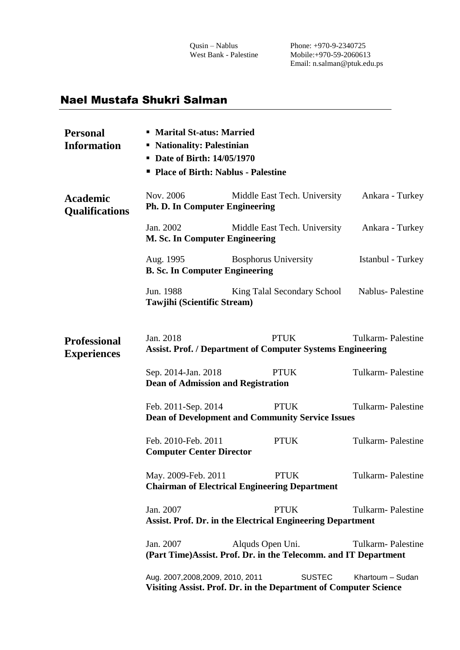## Nael Mustafa Shukri Salman

| <b>Personal</b><br><b>Information</b>     | • Marital St-atus: Married<br>• Nationality: Palestinian<br>• Date of Birth: 14/05/1970                                   |                                                                                      |                          |  |  |
|-------------------------------------------|---------------------------------------------------------------------------------------------------------------------------|--------------------------------------------------------------------------------------|--------------------------|--|--|
|                                           | " Place of Birth: Nablus - Palestine                                                                                      |                                                                                      |                          |  |  |
| <b>Academic</b><br><b>Qualifications</b>  | Nov. 2006<br><b>Ph. D. In Computer Engineering</b>                                                                        | Middle East Tech. University                                                         | Ankara - Turkey          |  |  |
|                                           | Jan. 2002<br>M. Sc. In Computer Engineering                                                                               | Ankara - Turkey                                                                      |                          |  |  |
|                                           | Aug. 1995<br><b>B. Sc. In Computer Engineering</b>                                                                        | <b>Bosphorus University</b>                                                          | Istanbul - Turkey        |  |  |
|                                           | Jun. 1988<br>Tawjihi (Scientific Stream)                                                                                  | King Talal Secondary School                                                          | Nablus-Palestine         |  |  |
| <b>Professional</b><br><b>Experiences</b> | Jan. 2018                                                                                                                 | <b>PTUK</b><br><b>Assist. Prof. / Department of Computer Systems Engineering</b>     | <b>Tulkarm-Palestine</b> |  |  |
|                                           | Sep. 2014-Jan. 2018<br><b>Dean of Admission and Registration</b>                                                          | <b>PTUK</b>                                                                          | Tulkarm-Palestine        |  |  |
|                                           | Feb. 2011-Sep. 2014<br><b>PTUK</b><br><b>Tulkarm-Palestine</b><br><b>Dean of Development and Community Service Issues</b> |                                                                                      |                          |  |  |
|                                           | Feb. 2010-Feb. 2011<br><b>Computer Center Director</b>                                                                    | <b>PTUK</b>                                                                          | <b>Tulkarm-Palestine</b> |  |  |
|                                           | May. 2009-Feb. 2011                                                                                                       | <b>PTUK</b><br><b>Chairman of Electrical Engineering Department</b>                  | <b>Tulkarm-Palestine</b> |  |  |
|                                           | Jan. 2007                                                                                                                 | <b>PTUK</b><br><b>Assist. Prof. Dr. in the Electrical Engineering Department</b>     | Tulkarm-Palestine        |  |  |
|                                           | Jan. 2007                                                                                                                 | Alquds Open Uni.<br>(Part Time) Assist. Prof. Dr. in the Telecomm. and IT Department | <b>Tulkarm-Palestine</b> |  |  |
|                                           | Aug. 2007,2008,2009, 2010, 2011                                                                                           | <b>SUSTEC</b><br>Visiting Assist. Prof. Dr. in the Department of Computer Science    | Khartoum - Sudan         |  |  |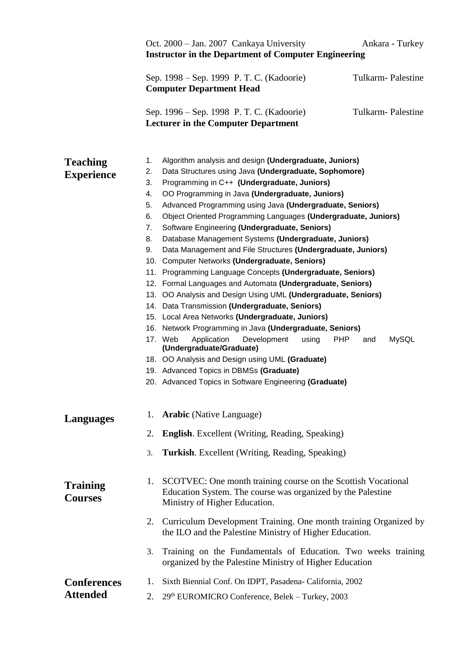|                                       | Oct. 2000 - Jan. 2007 Cankaya University<br>Ankara - Turkey<br><b>Instructor in the Department of Computer Engineering</b> |                                                                                                                                                                                                                                                                                                                                                                                                                                                                                                                                                                                                                                                                                                                                                                                                                                                                                                                                                                                                                                                                                                                                                                                                                      |  |
|---------------------------------------|----------------------------------------------------------------------------------------------------------------------------|----------------------------------------------------------------------------------------------------------------------------------------------------------------------------------------------------------------------------------------------------------------------------------------------------------------------------------------------------------------------------------------------------------------------------------------------------------------------------------------------------------------------------------------------------------------------------------------------------------------------------------------------------------------------------------------------------------------------------------------------------------------------------------------------------------------------------------------------------------------------------------------------------------------------------------------------------------------------------------------------------------------------------------------------------------------------------------------------------------------------------------------------------------------------------------------------------------------------|--|
|                                       |                                                                                                                            | Sep. 1998 – Sep. 1999 P. T. C. (Kadoorie)<br>Tulkarm-Palestine<br><b>Computer Department Head</b>                                                                                                                                                                                                                                                                                                                                                                                                                                                                                                                                                                                                                                                                                                                                                                                                                                                                                                                                                                                                                                                                                                                    |  |
|                                       |                                                                                                                            | <b>Tulkarm-Palestine</b><br>Sep. 1996 – Sep. 1998 P. T. C. (Kadoorie)<br><b>Lecturer in the Computer Department</b>                                                                                                                                                                                                                                                                                                                                                                                                                                                                                                                                                                                                                                                                                                                                                                                                                                                                                                                                                                                                                                                                                                  |  |
| <b>Teaching</b><br><b>Experience</b>  | 1.<br>2.<br>3.<br>4.<br>5.<br>6.<br>7.<br>8.<br>9.                                                                         | Algorithm analysis and design (Undergraduate, Juniors)<br>Data Structures using Java (Undergraduate, Sophomore)<br>Programming in C++ (Undergraduate, Juniors)<br>OO Programming in Java (Undergraduate, Juniors)<br>Advanced Programming using Java (Undergraduate, Seniors)<br>Object Oriented Programming Languages (Undergraduate, Juniors)<br>Software Engineering (Undergraduate, Seniors)<br>Database Management Systems (Undergraduate, Juniors)<br>Data Management and File Structures (Undergraduate, Juniors)<br>10. Computer Networks (Undergraduate, Seniors)<br>11. Programming Language Concepts (Undergraduate, Seniors)<br>12. Formal Languages and Automata (Undergraduate, Seniors)<br>13. OO Analysis and Design Using UML (Undergraduate, Seniors)<br>14. Data Transmission (Undergraduate, Seniors)<br>15. Local Area Networks (Undergraduate, Juniors)<br>16. Network Programming in Java (Undergraduate, Seniors)<br>17. Web<br>Application<br><b>MySQL</b><br>Development<br>using<br><b>PHP</b><br>and<br>(Undergraduate/Graduate)<br>18. OO Analysis and Design using UML (Graduate)<br>19. Advanced Topics in DBMSs (Graduate)<br>20. Advanced Topics in Software Engineering (Graduate) |  |
| <b>Languages</b>                      | 1.<br>2.                                                                                                                   | <b>Arabic</b> (Native Language)<br><b>English.</b> Excellent (Writing, Reading, Speaking)                                                                                                                                                                                                                                                                                                                                                                                                                                                                                                                                                                                                                                                                                                                                                                                                                                                                                                                                                                                                                                                                                                                            |  |
|                                       | 3.                                                                                                                         | Turkish. Excellent (Writing, Reading, Speaking)                                                                                                                                                                                                                                                                                                                                                                                                                                                                                                                                                                                                                                                                                                                                                                                                                                                                                                                                                                                                                                                                                                                                                                      |  |
| <b>Training</b><br><b>Courses</b>     | 1.                                                                                                                         | SCOTVEC: One month training course on the Scottish Vocational<br>Education System. The course was organized by the Palestine<br>Ministry of Higher Education.                                                                                                                                                                                                                                                                                                                                                                                                                                                                                                                                                                                                                                                                                                                                                                                                                                                                                                                                                                                                                                                        |  |
|                                       |                                                                                                                            | 2. Curriculum Development Training. One month training Organized by<br>the ILO and the Palestine Ministry of Higher Education.                                                                                                                                                                                                                                                                                                                                                                                                                                                                                                                                                                                                                                                                                                                                                                                                                                                                                                                                                                                                                                                                                       |  |
|                                       | 3.                                                                                                                         | Training on the Fundamentals of Education. Two weeks training<br>organized by the Palestine Ministry of Higher Education                                                                                                                                                                                                                                                                                                                                                                                                                                                                                                                                                                                                                                                                                                                                                                                                                                                                                                                                                                                                                                                                                             |  |
| <b>Conferences</b><br><b>Attended</b> | 1.<br>2.                                                                                                                   | Sixth Biennial Conf. On IDPT, Pasadena-California, 2002<br>29th EUROMICRO Conference, Belek – Turkey, 2003                                                                                                                                                                                                                                                                                                                                                                                                                                                                                                                                                                                                                                                                                                                                                                                                                                                                                                                                                                                                                                                                                                           |  |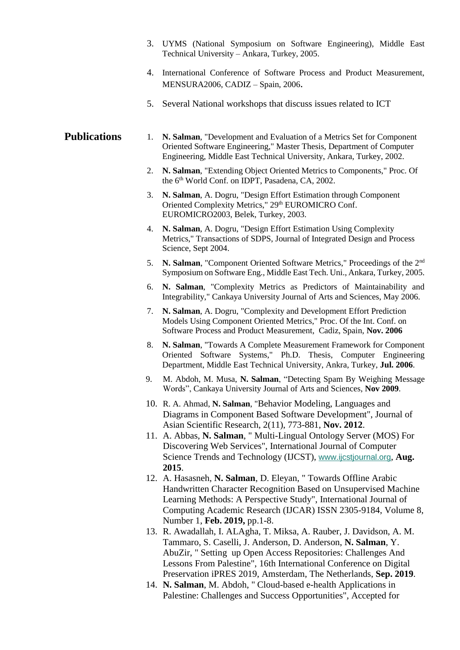- 3. UYMS (National Symposium on Software Engineering), Middle East Technical University – Ankara, Turkey, 2005.
- 4. International Conference of Software Process and Product Measurement, MENSURA2006, CADIZ – Spain, 2006.
- 5. Several National workshops that discuss issues related to ICT

## 1. **N. Salman**, "Development and Evaluation of a Metrics Set for Component Oriented Software Engineering," Master Thesis, Department of Computer Engineering, Middle East Technical University, Ankara, Turkey, 2002. **Publications**

- 2. **N. Salman**, "Extending Object Oriented Metrics to Components," Proc. Of the 6<sup>th</sup> World Conf. on IDPT, Pasadena, CA, 2002.
- 3. **N. Salman**, A. Dogru, "Design Effort Estimation through Component Oriented Complexity Metrics," 29<sup>th</sup> EUROMICRO Conf. EUROMICRO2003, Belek, Turkey, 2003.
- 4. **N. Salman**, A. Dogru, "Design Effort Estimation Using Complexity Metrics," Transactions of SDPS, Journal of Integrated Design and Process Science, Sept 2004.
- 5. **N. Salman**, "Component Oriented Software Metrics," Proceedings of the 2nd Symposium on Software Eng., Middle East Tech. Uni., Ankara, Turkey, 2005.
- 6. **N. Salman**, "Complexity Metrics as Predictors of Maintainability and Integrability," Cankaya University Journal of Arts and Sciences, May 2006.
- 7. **N. Salman**, A. Dogru, "Complexity and Development Effort Prediction Models Using Component Oriented Metrics," Proc. Of the Int. Conf. on Software Process and Product Measurement, Cadiz, Spain, **Nov. 2006**
- 8. **N. Salman**, "Towards A Complete Measurement Framework for Component Oriented Software Systems," Ph.D. Thesis, Computer Engineering Department, Middle East Technical University, Ankra, Turkey, **Jul. 2006**.
- 9. M. Abdoh, M. Musa, **N. Salman**, "Detecting Spam By Weighing Message Words", Cankaya University Journal of Arts and Sciences, **Nov 2009**.
- 10. R. A. Ahmad, **N. Salman**, "Behavior Modeling, Languages and Diagrams in Component Based Software Development", Journal of Asian Scientific Research, 2(11), 773-881, **Nov. 2012**.
- 11. A. Abbas, **N. Salman**, " Multi-Lingual Ontology Server (MOS) For Discovering Web Services", International Journal of Computer Science Trends and Technology (IJCST), [www.ijcstjournal.org](https://scholar.ptuk.edu.ps/handle/123456789/www.ijcstjournal.org), **Aug. 2015**.
- 12. A. Hasasneh, **N. Salman**, D. Eleyan, " Towards Offline Arabic Handwritten Character Recognition Based on Unsupervised Machine Learning Methods: A Perspective Study", International Journal of Computing Academic Research (IJCAR) ISSN 2305-9184, Volume 8, Number 1, **Feb. 2019,** pp.1-8.
- 13. R. Awadallah, I. ALAgha, T. Miksa, A. Rauber, J. Davidson, A. M. Tammaro, S. Caselli, J. Anderson, D. Anderson, **N. Salman**, Y. AbuZir, " Setting up Open Access Repositories: Challenges And Lessons From Palestine", 16th International Conference on Digital Preservation iPRES 2019, Amsterdam, The Netherlands, **Sep. 2019**.
- 14. **N. Salman**, M. Abdoh, " Cloud-based e-health Applications in Palestine: Challenges and Success Opportunities", Accepted for